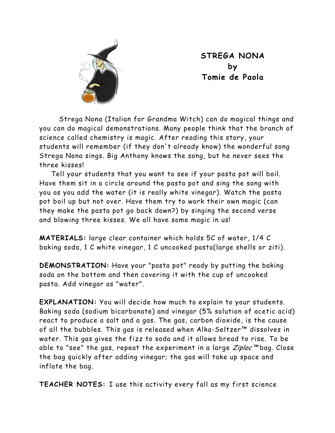

**STREGA NONA by Tomie de Paola** 

Strega Nona (Italian for Grandma Witch) can do magical things and you can do magical demonstrations. Many people think that the branch of science called chemistry is magic. After reading this story, your students will remember (if they don't already know) the wonderful song Strega Nona sings. Big Anthony knows the song, but he never sees the three kisses!

Tell your students that you want to see if your pasta pot will boil. Have them sit in a circle around the pasta pot and sing the song with you as you add the water (it is really white vinegar). Watch the pasta pot boil up but not over. Have them try to work their own magic (can they make the pasta pot go back down?) by singing the second verse and blowing three kisses. We all have some magic in us!

**MATERIALS:** large clear container which holds 5C of water, 1/4 C baking soda, 1 C white vinegar, 1 C uncooked pasta(large shells or ziti).

**DEMONSTRATION:** Have your "pasta pot" ready by putting the baking soda on the bottom and then covering it with the cup of uncooked pasta. Add vinegar as "water".

**EXPLANATION:** You will decide how much to explain to your students. Baking soda (sodium bicarbonate) and vinegar (5% solution of acetic acid) react to produce a salt and a gas. The gas, carbon dioxide, is the cause of all the bubbles. This gas is released when Alka-Seltzer™ dissolves in water. This gas gives the fizz to soda and it allows bread to rise. To be able to "see" the gas, repeat the experiment in a large  $\mathbb{Z}$ iploc<sup>™</sup> bag. Close the bag quickly after adding vinegar; the gas will take up space and inflate the bag.

**TEACHER NOTES:** I use this activity every fall as my first science